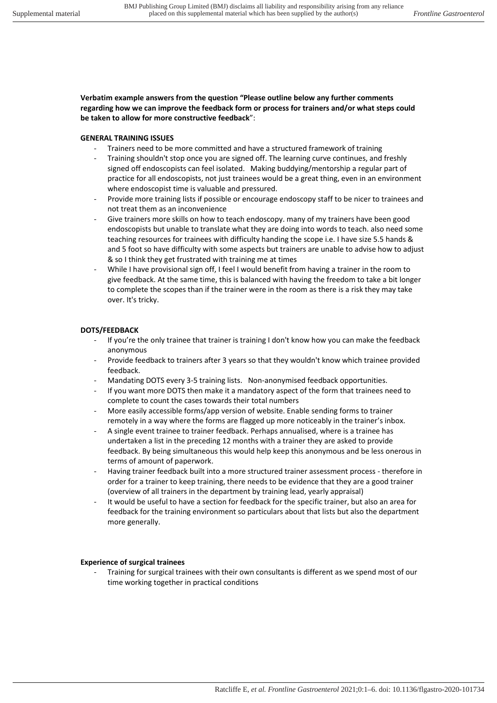**Verbatim example answers from the question "Please outline below any further comments regarding how we can improve the feedback form or process for trainers and/or what steps could be taken to allow for more constructive feedback**":

## **GENERAL TRAINING ISSUES**

- Trainers need to be more committed and have a structured framework of training
- Training shouldn't stop once you are signed off. The learning curve continues, and freshly signed off endoscopists can feel isolated. Making buddying/mentorship a regular part of practice for all endoscopists, not just trainees would be a great thing, even in an environment where endoscopist time is valuable and pressured.
- Provide more training lists if possible or encourage endoscopy staff to be nicer to trainees and not treat them as an inconvenience
- Give trainers more skills on how to teach endoscopy. many of my trainers have been good endoscopists but unable to translate what they are doing into words to teach. also need some teaching resources for trainees with difficulty handing the scope i.e. I have size 5.5 hands & and 5 foot so have difficulty with some aspects but trainers are unable to advise how to adjust & so I think they get frustrated with training me at times
- While I have provisional sign off, I feel I would benefit from having a trainer in the room to give feedback. At the same time, this is balanced with having the freedom to take a bit longer to complete the scopes than if the trainer were in the room as there is a risk they may take over. It's tricky.

## **DOTS/FEEDBACK**

- If you're the only trainee that trainer is training I don't know how you can make the feedback anonymous
- Provide feedback to trainers after 3 years so that they wouldn't know which trainee provided feedback.
- Mandating DOTS every 3-5 training lists. Non-anonymised feedback opportunities.
- If you want more DOTS then make it a mandatory aspect of the form that trainees need to complete to count the cases towards their total numbers
- More easily accessible forms/app version of website. Enable sending forms to trainer remotely in a way where the forms are flagged up more noticeably in the trainer's inbox.
- A single event trainee to trainer feedback. Perhaps annualised, where is a trainee has undertaken a list in the preceding 12 months with a trainer they are asked to provide feedback. By being simultaneous this would help keep this anonymous and be less onerous in terms of amount of paperwork.
- Having trainer feedback built into a more structured trainer assessment process therefore in order for a trainer to keep training, there needs to be evidence that they are a good trainer (overview of all trainers in the department by training lead, yearly appraisal)
- It would be useful to have a section for feedback for the specific trainer, but also an area for feedback for the training environment so particulars about that lists but also the department more generally.

## **Experience of surgical trainees**

- Training for surgical trainees with their own consultants is different as we spend most of our time working together in practical conditions